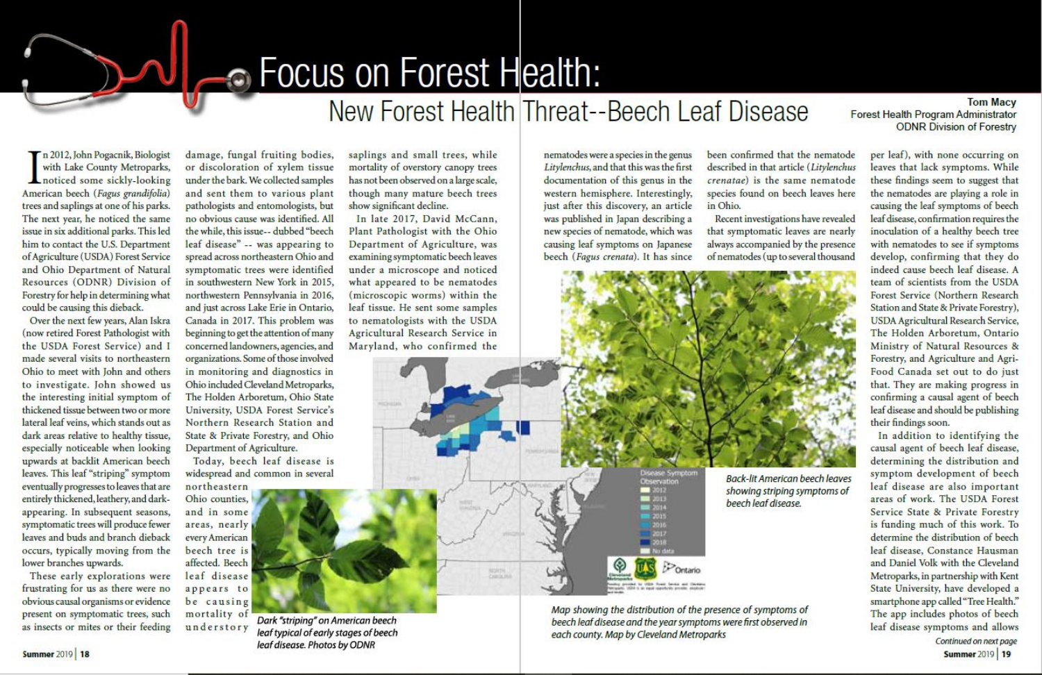# **OR FOCUS ON Forest Health:**

## New Forest Health Threat--Beech Leaf Disease

#### **Tom Macy** Forest Health Program Administrator **ODNR Division of Forestry**

per leaf), with none occurring on

n 2012, John Pogacnik, Biologist with Lake County Metroparks, noticed some sickly-looking American beech (Fagus grandifolia) trees and saplings at one of his parks. The next year, he noticed the same issue in six additional parks. This led him to contact the U.S. Department of Agriculture (USDA) Forest Service and Ohio Department of Natural Resources (ODNR) Division of Forestry for help in determining what could be causing this dieback.

Over the next few years, Alan Iskra (now retired Forest Pathologist with the USDA Forest Service) and I made several visits to northeastern Ohio to meet with John and others to investigate. John showed us the interesting initial symptom of thickened tissue between two or more lateral leaf veins, which stands out as dark areas relative to healthy tissue, especially noticeable when looking upwards at backlit American beech leaves. This leaf "striping" symptom eventually progresses to leaves that are entirely thickened, leathery, and darkappearing. In subsequent seasons, symptomatic trees will produce fewer leaves and buds and branch dieback occurs, typically moving from the lower branches upwards.

These early explorations were frustrating for us as there were no obvious causal organisms or evidence present on symptomatic trees, such as insects or mites or their feeding

damage, fungal fruiting bodies, or discoloration of xylem tissue under the bark. We collected samples and sent them to various plant pathologists and entomologists, but no obvious cause was identified. All the while, this issue-- dubbed "beech leaf disease" -- was appearing to spread across northeastern Ohio and symptomatic trees were identified in southwestern New York in 2015, northwestern Pennsylvania in 2016, and just across Lake Erie in Ontario, Canada in 2017. This problem was beginning to get the attention of many concerned landowners, agencies, and organizations. Some of those involved in monitoring and diagnostics in Ohio included Cleveland Metroparks, The Holden Arboretum, Ohio State University, USDA Forest Service's Northern Research Station and State & Private Forestry, and Ohio Department of Agriculture.

Today, beech leaf disease is widespread and common in several

Dark "striping" on American beech

leaf typical of early stages of beech

leaf disease. Photos by ODNR

northeastern Ohio counties, and in some areas, nearly every American beech tree is affected, Beech leaf disease appears to be causing mortality of

understory

saplings and small trees, while mortality of overstory canopy trees has not been observed on a large scale, though many mature beech trees show significant decline.

In late 2017, David McCann, Plant Pathologist with the Ohio Department of Agriculture, was examining symptomatic beech leaves under a microscope and noticed what appeared to be nematodes (microscopic worms) within the leaf tissue. He sent some samples to nematologists with the USDA Agricultural Research Service in Maryland, who confirmed the

NORTH

nematodes were a species in the genus Litylenchus, and that this was the first documentation of this genus in the western hemisphere. Interestingly, just after this discovery, an article was published in Japan describing a new species of nematode, which was causing leaf symptoms on Japanese beech (Fagus crenata). It has since

been confirmed that the nematode described in that article (Litylenchus crenatae) is the same nematode species found on beech leaves here in Ohio.

Recent investigations have revealed that symptomatic leaves are nearly always accompanied by the presence of nematodes (up to several thousand



**Back-lit American beech leaves** showing striping symptoms of beech leaf disease.

Map showing the distribution of the presence of symptoms of beech leaf disease and the year symptoms were first observed in each county. Map by Cleveland Metroparks

leaves that lack symptoms. While these findings seem to suggest that the nematodes are playing a role in causing the leaf symptoms of beech leaf disease, confirmation requires the inoculation of a healthy beech tree with nematodes to see if symptoms develop, confirming that they do indeed cause beech leaf disease. A team of scientists from the USDA Forest Service (Northern Research Station and State & Private Forestry), USDA Agricultural Research Service, The Holden Arboretum, Ontario Ministry of Natural Resources & Forestry, and Agriculture and Agri-Food Canada set out to do just that. They are making progress in confirming a causal agent of beech leaf disease and should be publishing their findings soon.

In addition to identifying the causal agent of beech leaf disease, determining the distribution and symptom development of beech leaf disease are also important areas of work. The USDA Forest Service State & Private Forestry is funding much of this work. To determine the distribution of beech leaf disease, Constance Hausman and Daniel Volk with the Cleveland Metroparks, in partnership with Kent State University, have developed a smartphone app called "Tree Health." The app includes photos of beech leaf disease symptoms and allows Continued on next page

**Summer 2019 19**